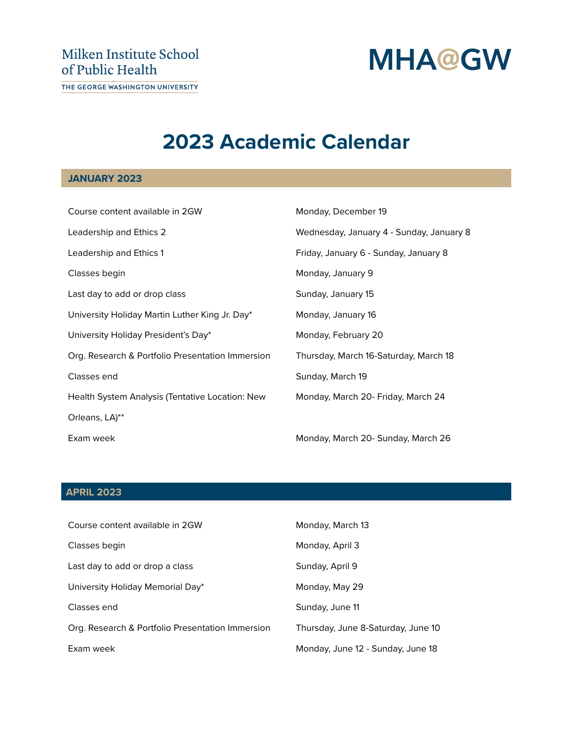# **MHA@GW**

# **2023 Academic Calendar**

## **JANUARY 2023**

| Course content available in 2GW                  | Monday, December 19                      |
|--------------------------------------------------|------------------------------------------|
| Leadership and Ethics 2                          | Wednesday, January 4 - Sunday, January 8 |
| Leadership and Ethics 1                          | Friday, January 6 - Sunday, January 8    |
| Classes begin                                    | Monday, January 9                        |
| Last day to add or drop class                    | Sunday, January 15                       |
| University Holiday Martin Luther King Jr. Day*   | Monday, January 16                       |
| University Holiday President's Day*              | Monday, February 20                      |
| Org. Research & Portfolio Presentation Immersion | Thursday, March 16-Saturday, March 18    |
| Classes end                                      | Sunday, March 19                         |
| Health System Analysis (Tentative Location: New  | Monday, March 20- Friday, March 24       |
| Orleans, LA)**                                   |                                          |
| Exam week                                        | Monday, March 20- Sunday, March 26       |

#### **APRIL 2023**

| Course content available in 2GW                  | Monday, March 13                   |
|--------------------------------------------------|------------------------------------|
| Classes begin                                    | Monday, April 3                    |
| Last day to add or drop a class                  | Sunday, April 9                    |
| University Holiday Memorial Day*                 | Monday, May 29                     |
| Classes end                                      | Sunday, June 11                    |
| Org. Research & Portfolio Presentation Immersion | Thursday, June 8-Saturday, June 10 |
| Exam week                                        | Monday, June 12 - Sunday, June 18  |